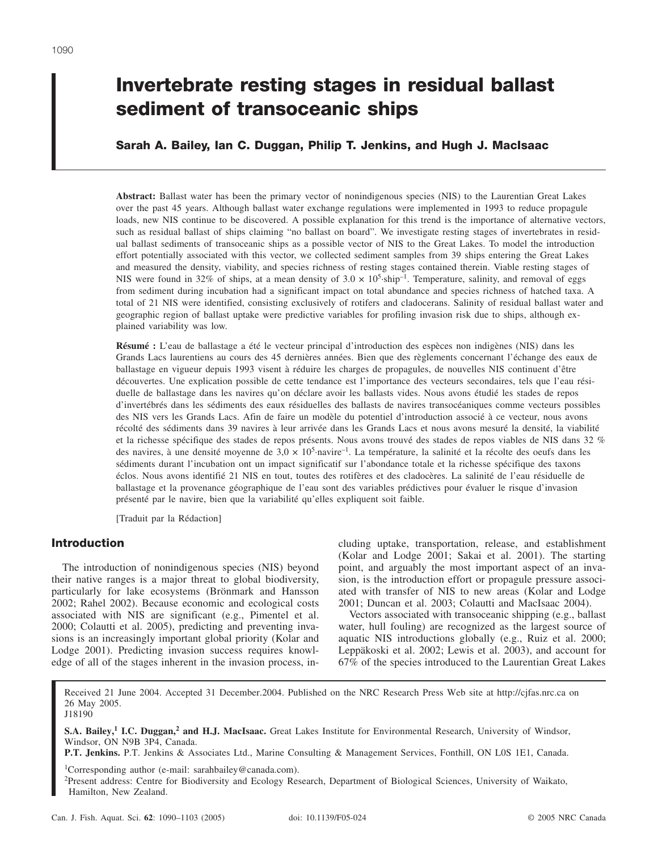# **Invertebrate resting stages in residual ballast sediment of transoceanic ships**

# **Sarah A. Bailey, Ian C. Duggan, Philip T. Jenkins, and Hugh J. MacIsaac**

**Abstract:** Ballast water has been the primary vector of nonindigenous species (NIS) to the Laurentian Great Lakes over the past 45 years. Although ballast water exchange regulations were implemented in 1993 to reduce propagule loads, new NIS continue to be discovered. A possible explanation for this trend is the importance of alternative vectors, such as residual ballast of ships claiming "no ballast on board". We investigate resting stages of invertebrates in residual ballast sediments of transoceanic ships as a possible vector of NIS to the Great Lakes. To model the introduction effort potentially associated with this vector, we collected sediment samples from 39 ships entering the Great Lakes and measured the density, viability, and species richness of resting stages contained therein. Viable resting stages of NIS were found in 32% of ships, at a mean density of  $3.0 \times 10^5$  ship<sup>-1</sup>. Temperature, salinity, and removal of eggs from sediment during incubation had a significant impact on total abundance and species richness of hatched taxa. A total of 21 NIS were identified, consisting exclusively of rotifers and cladocerans. Salinity of residual ballast water and geographic region of ballast uptake were predictive variables for profiling invasion risk due to ships, although explained variability was low.

**Résumé :** L'eau de ballastage a été le vecteur principal d'introduction des espèces non indigènes (NIS) dans les Grands Lacs laurentiens au cours des 45 dernières années. Bien que des règlements concernant l'échange des eaux de ballastage en vigueur depuis 1993 visent à réduire les charges de propagules, de nouvelles NIS continuent d'être découvertes. Une explication possible de cette tendance est l'importance des vecteurs secondaires, tels que l'eau résiduelle de ballastage dans les navires qu'on déclare avoir les ballasts vides. Nous avons étudié les stades de repos d'invertébrés dans les sédiments des eaux résiduelles des ballasts de navires transocéaniques comme vecteurs possibles des NIS vers les Grands Lacs. Afin de faire un modèle du potentiel d'introduction associé à ce vecteur, nous avons récolté des sédiments dans 39 navires à leur arrivée dans les Grands Lacs et nous avons mesuré la densité, la viabilité et la richesse spécifique des stades de repos présents. Nous avons trouvé des stades de repos viables de NIS dans 32 % des navires, à une densité moyenne de  $3.0 \times 10^5$ navire<sup>-1</sup>. La température, la salinité et la récolte des oeufs dans les sédiments durant l'incubation ont un impact significatif sur l'abondance totale et la richesse spécifique des taxons éclos. Nous avons identifié 21 NIS en tout, toutes des rotifères et des cladocères. La salinité de l'eau résiduelle de ballastage et la provenance géographique de l'eau sont des variables prédictives pour évaluer le risque d'invasion présenté par le navire, bien que la variabilité qu'elles expliquent soit faible.

[Traduit par la Rédaction]

# **Introduction**

The introduction of nonindigenous species (NIS) beyond their native ranges is a major threat to global biodiversity, particularly for lake ecosystems (Brönmark and Hansson 2002; Rahel 2002). Because economic and ecological costs associated with NIS are significant (e.g., Pimentel et al. 2000; Colautti et al. 2005), predicting and preventing invasions is an increasingly important global priority (Kolar and Lodge 2001). Predicting invasion success requires knowledge of all of the stages inherent in the invasion process, including uptake, transportation, release, and establishment (Kolar and Lodge 2001; Sakai et al. 2001). The starting point, and arguably the most important aspect of an invasion, is the introduction effort or propagule pressure associated with transfer of NIS to new areas (Kolar and Lodge 2001; Duncan et al. 2003; Colautti and MacIsaac 2004).

Vectors associated with transoceanic shipping (e.g., ballast water, hull fouling) are recognized as the largest source of aquatic NIS introductions globally (e.g., Ruiz et al. 2000; Leppäkoski et al. 2002; Lewis et al. 2003), and account for 67% of the species introduced to the Laurentian Great Lakes

Received 21 June 2004. Accepted 31 December.2004. Published on the NRC Research Press Web site at http://cjfas.nrc.ca on 26 May 2005. J18190

**S.A. Bailey,<sup>1</sup> I.C. Duggan,<sup>2</sup> and H.J. MacIsaac.** Great Lakes Institute for Environmental Research, University of Windsor, Windsor, ON N9B 3P4, Canada.

**P.T. Jenkins.** P.T. Jenkins & Associates Ltd., Marine Consulting & Management Services, Fonthill, ON L0S 1E1, Canada.

1 Corresponding author (e-mail: sarahbailey@canada.com).

2 Present address: Centre for Biodiversity and Ecology Research, Department of Biological Sciences, University of Waikato, Hamilton, New Zealand.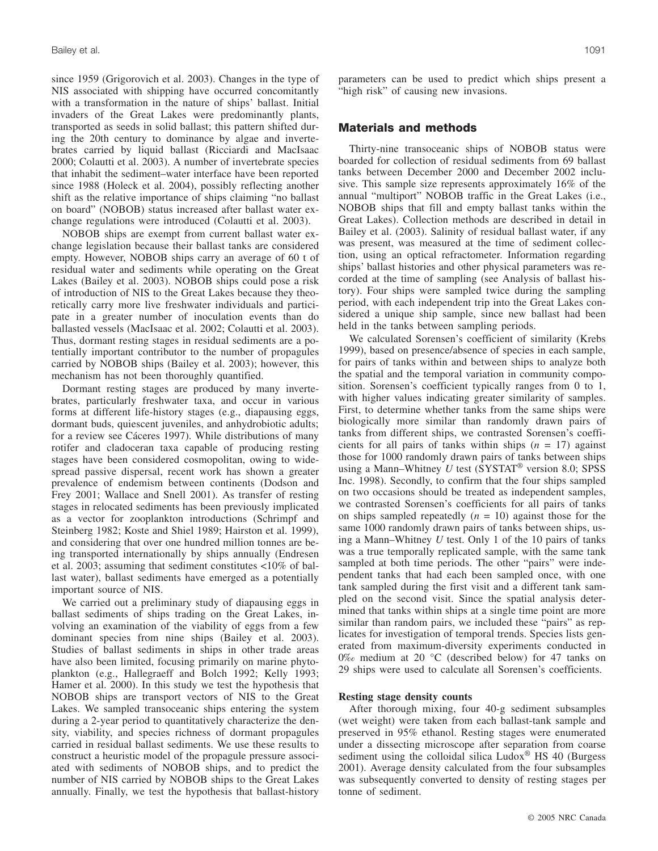since 1959 (Grigorovich et al. 2003). Changes in the type of NIS associated with shipping have occurred concomitantly with a transformation in the nature of ships' ballast. Initial invaders of the Great Lakes were predominantly plants, transported as seeds in solid ballast; this pattern shifted during the 20th century to dominance by algae and invertebrates carried by liquid ballast (Ricciardi and MacIsaac 2000; Colautti et al. 2003). A number of invertebrate species that inhabit the sediment–water interface have been reported since 1988 (Holeck et al. 2004), possibly reflecting another shift as the relative importance of ships claiming "no ballast on board" (NOBOB) status increased after ballast water exchange regulations were introduced (Colautti et al. 2003).

NOBOB ships are exempt from current ballast water exchange legislation because their ballast tanks are considered empty. However, NOBOB ships carry an average of 60 t of residual water and sediments while operating on the Great Lakes (Bailey et al. 2003). NOBOB ships could pose a risk of introduction of NIS to the Great Lakes because they theoretically carry more live freshwater individuals and participate in a greater number of inoculation events than do ballasted vessels (MacIsaac et al. 2002; Colautti et al. 2003). Thus, dormant resting stages in residual sediments are a potentially important contributor to the number of propagules carried by NOBOB ships (Bailey et al. 2003); however, this mechanism has not been thoroughly quantified.

Dormant resting stages are produced by many invertebrates, particularly freshwater taxa, and occur in various forms at different life-history stages (e.g., diapausing eggs, dormant buds, quiescent juveniles, and anhydrobiotic adults; for a review see Cáceres 1997). While distributions of many rotifer and cladoceran taxa capable of producing resting stages have been considered cosmopolitan, owing to widespread passive dispersal, recent work has shown a greater prevalence of endemism between continents (Dodson and Frey 2001; Wallace and Snell 2001). As transfer of resting stages in relocated sediments has been previously implicated as a vector for zooplankton introductions (Schrimpf and Steinberg 1982; Koste and Shiel 1989; Hairston et al. 1999), and considering that over one hundred million tonnes are being transported internationally by ships annually (Endresen et al. 2003; assuming that sediment constitutes <10% of ballast water), ballast sediments have emerged as a potentially important source of NIS.

We carried out a preliminary study of diapausing eggs in ballast sediments of ships trading on the Great Lakes, involving an examination of the viability of eggs from a few dominant species from nine ships (Bailey et al. 2003). Studies of ballast sediments in ships in other trade areas have also been limited, focusing primarily on marine phytoplankton (e.g., Hallegraeff and Bolch 1992; Kelly 1993; Hamer et al. 2000). In this study we test the hypothesis that NOBOB ships are transport vectors of NIS to the Great Lakes. We sampled transoceanic ships entering the system during a 2-year period to quantitatively characterize the density, viability, and species richness of dormant propagules carried in residual ballast sediments. We use these results to construct a heuristic model of the propagule pressure associated with sediments of NOBOB ships, and to predict the number of NIS carried by NOBOB ships to the Great Lakes annually. Finally, we test the hypothesis that ballast-history parameters can be used to predict which ships present a "high risk" of causing new invasions.

## **Materials and methods**

Thirty-nine transoceanic ships of NOBOB status were boarded for collection of residual sediments from 69 ballast tanks between December 2000 and December 2002 inclusive. This sample size represents approximately 16% of the annual "multiport" NOBOB traffic in the Great Lakes (i.e., NOBOB ships that fill and empty ballast tanks within the Great Lakes). Collection methods are described in detail in Bailey et al. (2003). Salinity of residual ballast water, if any was present, was measured at the time of sediment collection, using an optical refractometer. Information regarding ships' ballast histories and other physical parameters was recorded at the time of sampling (see Analysis of ballast history). Four ships were sampled twice during the sampling period, with each independent trip into the Great Lakes considered a unique ship sample, since new ballast had been held in the tanks between sampling periods.

We calculated Sorensen's coefficient of similarity (Krebs 1999), based on presence/absence of species in each sample, for pairs of tanks within and between ships to analyze both the spatial and the temporal variation in community composition. Sorensen's coefficient typically ranges from 0 to 1, with higher values indicating greater similarity of samples. First, to determine whether tanks from the same ships were biologically more similar than randomly drawn pairs of tanks from different ships, we contrasted Sorensen's coefficients for all pairs of tanks within ships  $(n = 17)$  against those for 1000 randomly drawn pairs of tanks between ships using a Mann–Whitney *U* test (SYSTAT<sup>®</sup> version 8.0; SPSS Inc. 1998). Secondly, to confirm that the four ships sampled on two occasions should be treated as independent samples, we contrasted Sorensen's coefficients for all pairs of tanks on ships sampled repeatedly (*n* = 10) against those for the same 1000 randomly drawn pairs of tanks between ships, using a Mann–Whitney *U* test. Only 1 of the 10 pairs of tanks was a true temporally replicated sample, with the same tank sampled at both time periods. The other "pairs" were independent tanks that had each been sampled once, with one tank sampled during the first visit and a different tank sampled on the second visit. Since the spatial analysis determined that tanks within ships at a single time point are more similar than random pairs, we included these "pairs" as replicates for investigation of temporal trends. Species lists generated from maximum-diversity experiments conducted in 0% medium at 20  $\degree$ C (described below) for 47 tanks on 29 ships were used to calculate all Sorensen's coefficients.

#### **Resting stage density counts**

After thorough mixing, four 40-g sediment subsamples (wet weight) were taken from each ballast-tank sample and preserved in 95% ethanol. Resting stages were enumerated under a dissecting microscope after separation from coarse sediment using the colloidal silica Ludox® HS 40 (Burgess 2001). Average density calculated from the four subsamples was subsequently converted to density of resting stages per tonne of sediment.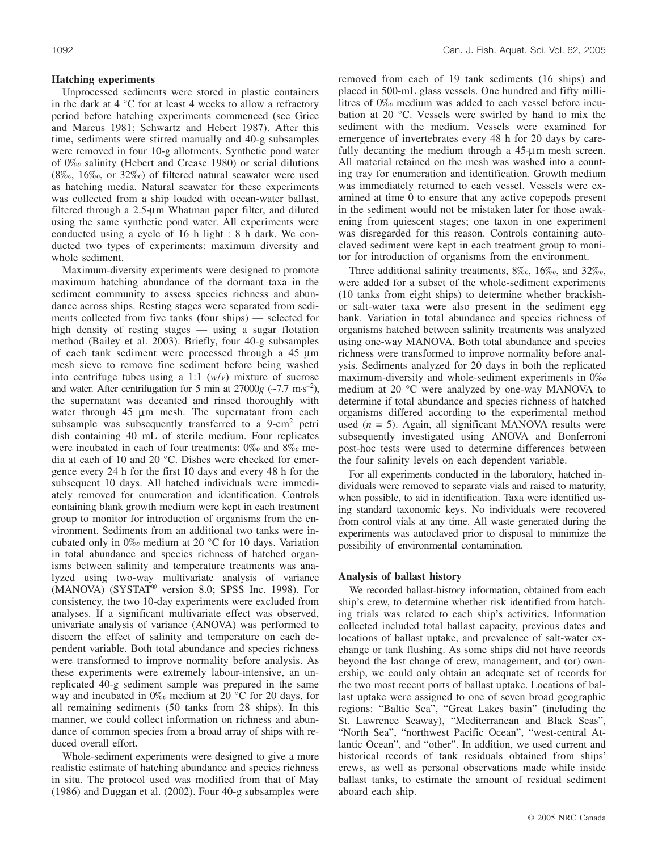#### **Hatching experiments**

Unprocessed sediments were stored in plastic containers in the dark at 4 °C for at least 4 weeks to allow a refractory period before hatching experiments commenced (see Grice and Marcus 1981; Schwartz and Hebert 1987). After this time, sediments were stirred manually and 40-g subsamples were removed in four 10-g allotments. Synthetic pond water of 0‰ salinity (Hebert and Crease 1980) or serial dilutions (8‰, 16‰, or 32‰) of filtered natural seawater were used as hatching media. Natural seawater for these experiments was collected from a ship loaded with ocean-water ballast, filtered through a 2.5-µm Whatman paper filter, and diluted using the same synthetic pond water. All experiments were conducted using a cycle of  $16$  h light: 8 h dark. We conducted two types of experiments: maximum diversity and whole sediment.

Maximum-diversity experiments were designed to promote maximum hatching abundance of the dormant taxa in the sediment community to assess species richness and abundance across ships. Resting stages were separated from sediments collected from five tanks (four ships) — selected for high density of resting stages — using a sugar flotation method (Bailey et al. 2003). Briefly, four 40-g subsamples of each tank sediment were processed through a 45 µm mesh sieve to remove fine sediment before being washed into centrifuge tubes using a 1:1 (*w*/*v*) mixture of sucrose and water. After centrifugation for 5 min at  $27000g$  ( $\sim$ 7.7 m·s<sup>-2</sup>), the supernatant was decanted and rinsed thoroughly with water through 45 µm mesh. The supernatant from each subsample was subsequently transferred to a  $9$ -cm<sup>2</sup> petri dish containing 40 mL of sterile medium. Four replicates were incubated in each of four treatments: 0‰ and 8‰ media at each of 10 and 20 °C. Dishes were checked for emergence every 24 h for the first 10 days and every 48 h for the subsequent 10 days. All hatched individuals were immediately removed for enumeration and identification. Controls containing blank growth medium were kept in each treatment group to monitor for introduction of organisms from the environment. Sediments from an additional two tanks were incubated only in 0‰ medium at 20 °C for 10 days. Variation in total abundance and species richness of hatched organisms between salinity and temperature treatments was analyzed using two-way multivariate analysis of variance (MANOVA) (SYSTAT® version 8.0; SPSS Inc. 1998). For consistency, the two 10-day experiments were excluded from analyses. If a significant multivariate effect was observed, univariate analysis of variance (ANOVA) was performed to discern the effect of salinity and temperature on each dependent variable. Both total abundance and species richness were transformed to improve normality before analysis. As these experiments were extremely labour-intensive, an unreplicated 40-g sediment sample was prepared in the same way and incubated in 0‰ medium at 20 °C for 20 days, for all remaining sediments (50 tanks from 28 ships). In this manner, we could collect information on richness and abundance of common species from a broad array of ships with reduced overall effort.

Whole-sediment experiments were designed to give a more realistic estimate of hatching abundance and species richness in situ. The protocol used was modified from that of May (1986) and Duggan et al. (2002). Four 40-g subsamples were removed from each of 19 tank sediments (16 ships) and placed in 500-mL glass vessels. One hundred and fifty millilitres of 0‰ medium was added to each vessel before incubation at 20 °C. Vessels were swirled by hand to mix the sediment with the medium. Vessels were examined for emergence of invertebrates every 48 h for 20 days by carefully decanting the medium through a 45-µm mesh screen. All material retained on the mesh was washed into a counting tray for enumeration and identification. Growth medium was immediately returned to each vessel. Vessels were examined at time 0 to ensure that any active copepods present in the sediment would not be mistaken later for those awakening from quiescent stages; one taxon in one experiment was disregarded for this reason. Controls containing autoclaved sediment were kept in each treatment group to monitor for introduction of organisms from the environment.

Three additional salinity treatments, 8‰, 16‰, and 32‰, were added for a subset of the whole-sediment experiments (10 tanks from eight ships) to determine whether brackishor salt-water taxa were also present in the sediment egg bank. Variation in total abundance and species richness of organisms hatched between salinity treatments was analyzed using one-way MANOVA. Both total abundance and species richness were transformed to improve normality before analysis. Sediments analyzed for 20 days in both the replicated maximum-diversity and whole-sediment experiments in 0‰ medium at 20 °C were analyzed by one-way MANOVA to determine if total abundance and species richness of hatched organisms differed according to the experimental method used (*n* = 5). Again, all significant MANOVA results were subsequently investigated using ANOVA and Bonferroni post-hoc tests were used to determine differences between the four salinity levels on each dependent variable.

For all experiments conducted in the laboratory, hatched individuals were removed to separate vials and raised to maturity, when possible, to aid in identification. Taxa were identified using standard taxonomic keys. No individuals were recovered from control vials at any time. All waste generated during the experiments was autoclaved prior to disposal to minimize the possibility of environmental contamination.

#### **Analysis of ballast history**

We recorded ballast-history information, obtained from each ship's crew, to determine whether risk identified from hatching trials was related to each ship's activities. Information collected included total ballast capacity, previous dates and locations of ballast uptake, and prevalence of salt-water exchange or tank flushing. As some ships did not have records beyond the last change of crew, management, and (or) ownership, we could only obtain an adequate set of records for the two most recent ports of ballast uptake. Locations of ballast uptake were assigned to one of seven broad geographic regions: "Baltic Sea", "Great Lakes basin" (including the St. Lawrence Seaway), "Mediterranean and Black Seas", "North Sea", "northwest Pacific Ocean", "west-central Atlantic Ocean", and "other". In addition, we used current and historical records of tank residuals obtained from ships' crews, as well as personal observations made while inside ballast tanks, to estimate the amount of residual sediment aboard each ship.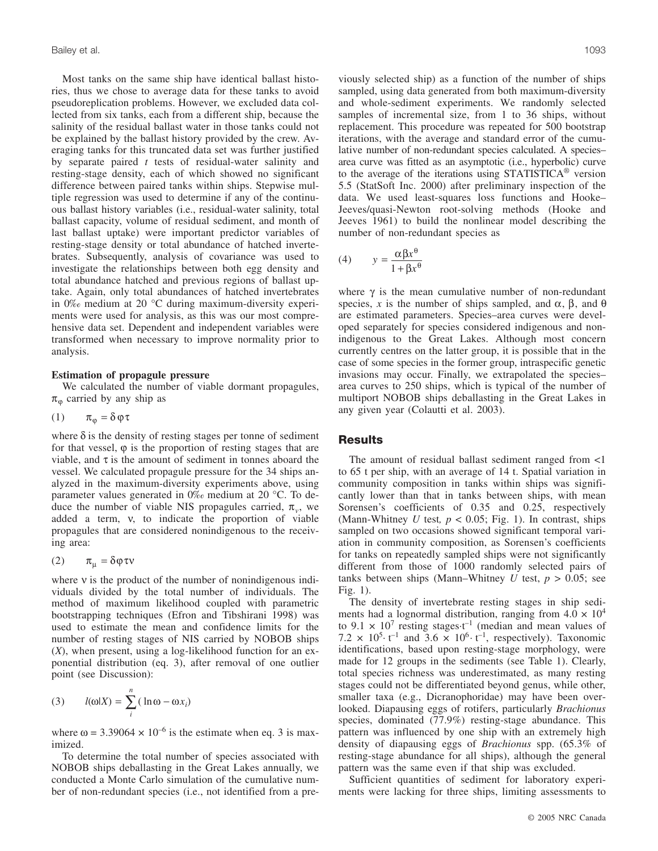Most tanks on the same ship have identical ballast histories, thus we chose to average data for these tanks to avoid pseudoreplication problems. However, we excluded data collected from six tanks, each from a different ship, because the salinity of the residual ballast water in those tanks could not be explained by the ballast history provided by the crew. Averaging tanks for this truncated data set was further justified by separate paired *t* tests of residual-water salinity and resting-stage density, each of which showed no significant difference between paired tanks within ships. Stepwise multiple regression was used to determine if any of the continuous ballast history variables (i.e., residual-water salinity, total ballast capacity, volume of residual sediment, and month of last ballast uptake) were important predictor variables of resting-stage density or total abundance of hatched invertebrates. Subsequently, analysis of covariance was used to investigate the relationships between both egg density and total abundance hatched and previous regions of ballast uptake. Again, only total abundances of hatched invertebrates in 0‰ medium at 20 °C during maximum-diversity experiments were used for analysis, as this was our most comprehensive data set. Dependent and independent variables were transformed when necessary to improve normality prior to analysis.

#### **Estimation of propagule pressure**

We calculated the number of viable dormant propagules,  $\pi_{\omega}$  carried by any ship as

$$
(1) \qquad \pi_{\varphi} = \delta \varphi \tau
$$

where  $\delta$  is the density of resting stages per tonne of sediment for that vessel,  $\varphi$  is the proportion of resting stages that are viable, and  $\tau$  is the amount of sediment in tonnes aboard the vessel. We calculated propagule pressure for the 34 ships analyzed in the maximum-diversity experiments above, using parameter values generated in 0‰ medium at 20 °C. To deduce the number of viable NIS propagules carried,  $\pi$ <sub>*v*</sub>, we added a term, ν, to indicate the proportion of viable propagules that are considered nonindigenous to the receiving area:

$$
(2) \qquad \pi_{\mu} = \delta \varphi \tau v
$$

where v is the product of the number of nonindigenous individuals divided by the total number of individuals. The method of maximum likelihood coupled with parametric bootstrapping techniques (Efron and Tibshirani 1998) was used to estimate the mean and confidence limits for the number of resting stages of NIS carried by NOBOB ships (*X*), when present, using a log-likelihood function for an exponential distribution (eq. 3), after removal of one outlier point (see Discussion):

(3) 
$$
l(\omega|X) = \sum_{i}^{n} (\ln \omega - \omega x_i)
$$

where  $\omega = 3.39064 \times 10^{-6}$  is the estimate when eq. 3 is maximized.

To determine the total number of species associated with NOBOB ships deballasting in the Great Lakes annually, we conducted a Monte Carlo simulation of the cumulative number of non-redundant species (i.e., not identified from a previously selected ship) as a function of the number of ships sampled, using data generated from both maximum-diversity and whole-sediment experiments. We randomly selected samples of incremental size, from 1 to 36 ships, without replacement. This procedure was repeated for 500 bootstrap iterations, with the average and standard error of the cumulative number of non-redundant species calculated. A species– area curve was fitted as an asymptotic (i.e., hyperbolic) curve to the average of the iterations using STATISTICA® version 5.5 (StatSoft Inc. 2000) after preliminary inspection of the data. We used least-squares loss functions and Hooke– Jeeves/quasi-Newton root-solving methods (Hooke and Jeeves 1961) to build the nonlinear model describing the number of non-redundant species as

(4) 
$$
y = \frac{\alpha \beta x^{\theta}}{1 + \beta x^{\theta}}
$$

where  $\gamma$  is the mean cumulative number of non-redundant species, *x* is the number of ships sampled, and  $\alpha$ ,  $\beta$ , and  $\theta$ are estimated parameters. Species–area curves were developed separately for species considered indigenous and nonindigenous to the Great Lakes. Although most concern currently centres on the latter group, it is possible that in the case of some species in the former group, intraspecific genetic invasions may occur. Finally, we extrapolated the species– area curves to 250 ships, which is typical of the number of multiport NOBOB ships deballasting in the Great Lakes in any given year (Colautti et al. 2003).

## **Results**

The amount of residual ballast sediment ranged from <1 to 65 t per ship, with an average of 14 t. Spatial variation in community composition in tanks within ships was significantly lower than that in tanks between ships, with mean Sorensen's coefficients of 0.35 and 0.25, respectively (Mann-Whitney  $U$  test,  $p < 0.05$ ; Fig. 1). In contrast, ships sampled on two occasions showed significant temporal variation in community composition, as Sorensen's coefficients for tanks on repeatedly sampled ships were not significantly different from those of 1000 randomly selected pairs of tanks between ships (Mann–Whitney  $U$  test,  $p > 0.05$ ; see Fig. 1).

The density of invertebrate resting stages in ship sediments had a lognormal distribution, ranging from  $4.0 \times 10^4$ to 9.1  $\times$  10<sup>7</sup> resting stages t<sup>-1</sup> (median and mean values of 7.2  $\times$  10<sup>5</sup> t<sup>-1</sup> and 3.6  $\times$  10<sup>6</sup> t<sup>-1</sup>, respectively). Taxonomic identifications, based upon resting-stage morphology, were made for 12 groups in the sediments (see Table 1). Clearly, total species richness was underestimated, as many resting stages could not be differentiated beyond genus, while other, smaller taxa (e.g., Dicranophoridae) may have been overlooked. Diapausing eggs of rotifers, particularly *Brachionus* species, dominated (77.9%) resting-stage abundance. This pattern was influenced by one ship with an extremely high density of diapausing eggs of *Brachionus* spp. (65.3% of resting-stage abundance for all ships), although the general pattern was the same even if that ship was excluded.

Sufficient quantities of sediment for laboratory experiments were lacking for three ships, limiting assessments to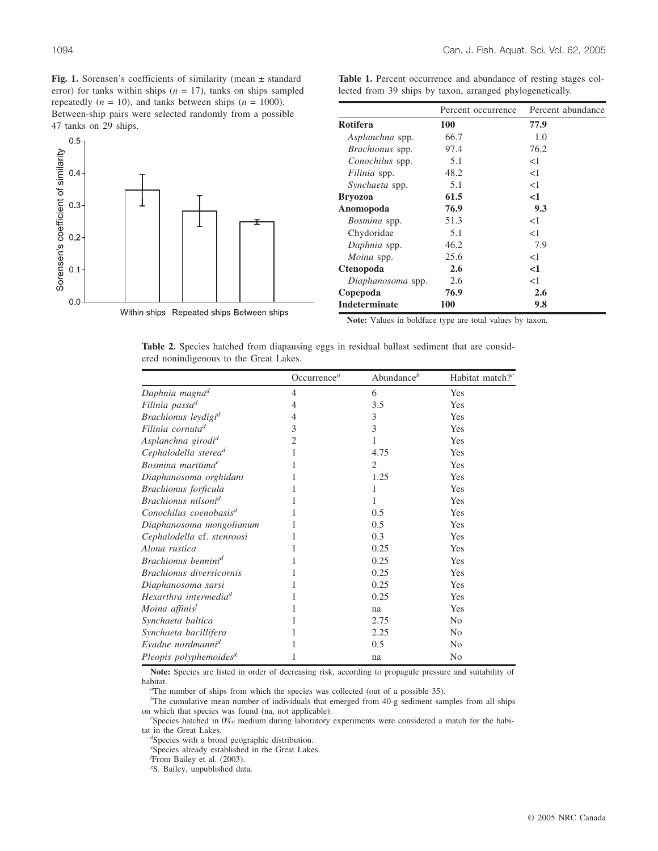**Fig. 1.** Sorensen's coefficients of similarity (mean ± standard error) for tanks within ships  $(n = 17)$ , tanks on ships sampled repeatedly  $(n = 10)$ , and tanks between ships  $(n = 1000)$ . Between-ship pairs were selected randomly from a possible 47 tanks on 29 ships.

 $0.5$ Sorensen's coefficient of similarity  $0.4$  $0.3$  $0.2$  $0.1$  $0.0$ 

Within ships Repeated ships Between ships

|                       | Percent occurrence | Percent abundance |
|-----------------------|--------------------|-------------------|
| <b>Rotifera</b>       | 100                | 77.9              |
| Asplanchna spp.       | 66.7               | 1.0               |
| Brachionus spp.       | 97.4               | 76.2              |
| Conochilus spp.       | 5.1                | $<$ 1             |
| Filinia spp.          | 48.2               | $<$ 1             |
| <i>Synchaeta</i> spp. | 5.1                | $<$ 1             |
| <b>Bryozoa</b>        | 61.5               | $<$ 1             |
| Anomopoda             | 76.9               | 9.3               |
| Bosmina spp.          | 51.3               | $<$ 1             |
| Chydoridae            | 5.1                | $<$ 1             |
| Daphnia spp.          | 46.2               | 7.9               |
| Moina spp.            | 25.6               | $<$ 1             |
| <b>Ctenopoda</b>      | 2.6                | $\leq$ 1          |
| Diaphanosoma spp.     | 2.6                | $<$ 1             |
| Copepoda              | 76.9               | 2.6               |
| <b>Indeterminate</b>  | 100                | 9.8               |

**Table 1.** Percent occurrence and abundance of resting stages collected from 39 ships by taxon, arranged phylogenetically.

**Note:** Values in boldface type are total values by taxon.

**Table 2.** Species hatched from diapausing eggs in residual ballast sediment that are considered nonindigenous to the Great Lakes.

|                                    | Occurrence <sup><math>a</math></sup> | Abundance $^b$ | Habitat match? <sup>c</sup> |
|------------------------------------|--------------------------------------|----------------|-----------------------------|
| Daphnia magna <sup>d</sup>         | $\overline{4}$                       | 6              | Yes                         |
| Filinia passa <sup>d</sup>         | 4                                    | 3.5            | Yes                         |
| Brachionus leydigi <sup>d</sup>    | 4                                    | 3              | Yes                         |
| Filinia cornuta <sup>d</sup>       | 3                                    | 3              | Yes                         |
| Asplanchna girodi <sup>d</sup>     | 2                                    |                | Yes                         |
| Cephalodella sterea <sup>d</sup>   |                                      | 4.75           | Yes                         |
| Bosmina maritima <sup>e</sup>      |                                      | $\overline{2}$ | Yes                         |
| Diaphanosoma orghidani             |                                      | 1.25           | Yes                         |
| Brachionus forficula               |                                      | 1              | Yes                         |
| Brachionus nilsoni <sup>d</sup>    |                                      |                | Yes                         |
| Conochilus coenobasis <sup>d</sup> |                                      | 0.5            | Yes                         |
| Diaphanosoma mongolianum           |                                      | 0.5            | Yes                         |
| Cephalodella cf. stenroosi         |                                      | 0.3            | Yes                         |
| Alona rustica                      |                                      | 0.25           | Yes                         |
| Brachionus bennini <sup>d</sup>    |                                      | 0.25           | Yes                         |
| Brachionus diversicornis           |                                      | 0.25           | Yes                         |
| Diaphanosoma sarsi                 |                                      | 0.25           | Yes                         |
| Hexarthra intermedia <sup>d</sup>  |                                      | 0.25           | Yes                         |
| Moina affinis <sup>f</sup>         |                                      | na             | Yes                         |
| Synchaeta baltica                  |                                      | 2.75           | N <sub>0</sub>              |
| Synchaeta bacillifera              |                                      | 2.25           | N <sub>0</sub>              |
| Evadne nordmanni <sup>d</sup>      |                                      | 0.5            | N <sub>0</sub>              |
| Pleopis polyphemoides <sup>8</sup> |                                      | na             | No                          |

**Note:** Species are listed in order of decreasing risk, according to propagule pressure and suitability of habitat. *<sup>a</sup>*

The number of ships from which the species was collected (out of a possible 35).

*b* The cumulative mean number of individuals that emerged from 40-g sediment samples from all ships on which that species was found (na, not applicable). *<sup>c</sup>*

Species hatched in 0‰ medium during laboratory experiments were considered a match for the habitat in the Great Lakes.

Species with a broad geographic distribution.

*e* Species already established in the Great Lakes.

*f* From Bailey et al. (2003).

<sup>g</sup>S. Bailey, unpublished data.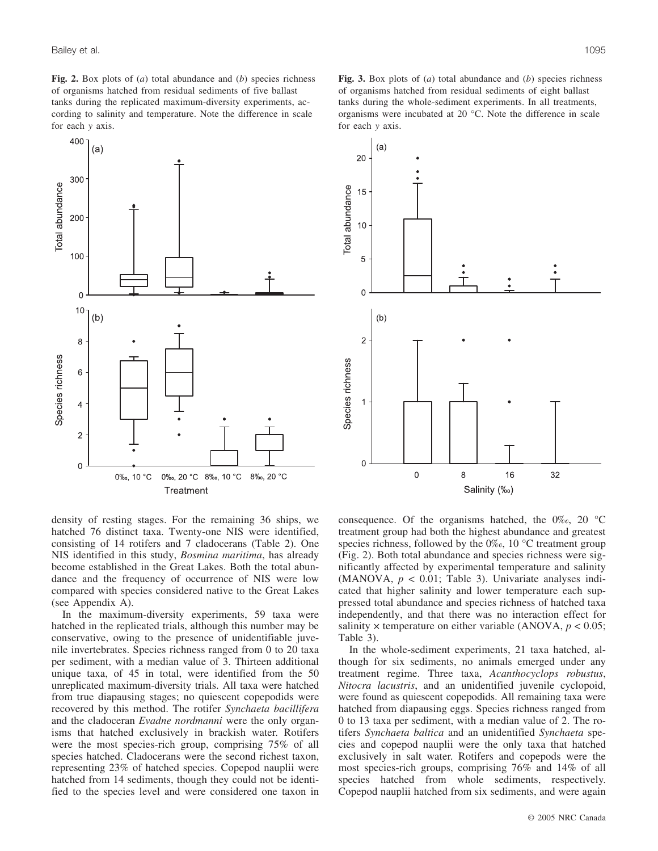**Fig. 2.** Box plots of (*a*) total abundance and (*b*) species richness of organisms hatched from residual sediments of five ballast tanks during the replicated maximum-diversity experiments, according to salinity and temperature. Note the difference in scale for each *y* axis.



density of resting stages. For the remaining 36 ships, we hatched 76 distinct taxa. Twenty-one NIS were identified, consisting of 14 rotifers and 7 cladocerans (Table 2). One NIS identified in this study, *Bosmina maritima*, has already become established in the Great Lakes. Both the total abundance and the frequency of occurrence of NIS were low compared with species considered native to the Great Lakes (see Appendix A).

In the maximum-diversity experiments, 59 taxa were hatched in the replicated trials, although this number may be conservative, owing to the presence of unidentifiable juvenile invertebrates. Species richness ranged from 0 to 20 taxa per sediment, with a median value of 3. Thirteen additional unique taxa, of 45 in total, were identified from the 50 unreplicated maximum-diversity trials. All taxa were hatched from true diapausing stages; no quiescent copepodids were recovered by this method. The rotifer *Synchaeta bacillifera* and the cladoceran *Evadne nordmanni* were the only organisms that hatched exclusively in brackish water. Rotifers were the most species-rich group, comprising 75% of all species hatched. Cladocerans were the second richest taxon, representing 23% of hatched species. Copepod nauplii were hatched from 14 sediments, though they could not be identified to the species level and were considered one taxon in

**Fig. 3.** Box plots of (*a*) total abundance and (*b*) species richness of organisms hatched from residual sediments of eight ballast tanks during the whole-sediment experiments. In all treatments, organisms were incubated at 20 °C. Note the difference in scale for each *y* axis.



consequence. Of the organisms hatched, the 0‰, 20 °C treatment group had both the highest abundance and greatest species richness, followed by the 0‰, 10 °C treatment group (Fig. 2). Both total abundance and species richness were significantly affected by experimental temperature and salinity (MANOVA,  $p < 0.01$ ; Table 3). Univariate analyses indicated that higher salinity and lower temperature each suppressed total abundance and species richness of hatched taxa independently, and that there was no interaction effect for salinity  $\times$  temperature on either variable (ANOVA,  $p < 0.05$ ; Table 3).

In the whole-sediment experiments, 21 taxa hatched, although for six sediments, no animals emerged under any treatment regime. Three taxa, *Acanthocyclops robustus*, *Nitocra lacustris*, and an unidentified juvenile cyclopoid, were found as quiescent copepodids. All remaining taxa were hatched from diapausing eggs. Species richness ranged from 0 to 13 taxa per sediment, with a median value of 2. The rotifers *Synchaeta baltica* and an unidentified *Synchaeta* species and copepod nauplii were the only taxa that hatched exclusively in salt water. Rotifers and copepods were the most species-rich groups, comprising 76% and 14% of all species hatched from whole sediments, respectively. Copepod nauplii hatched from six sediments, and were again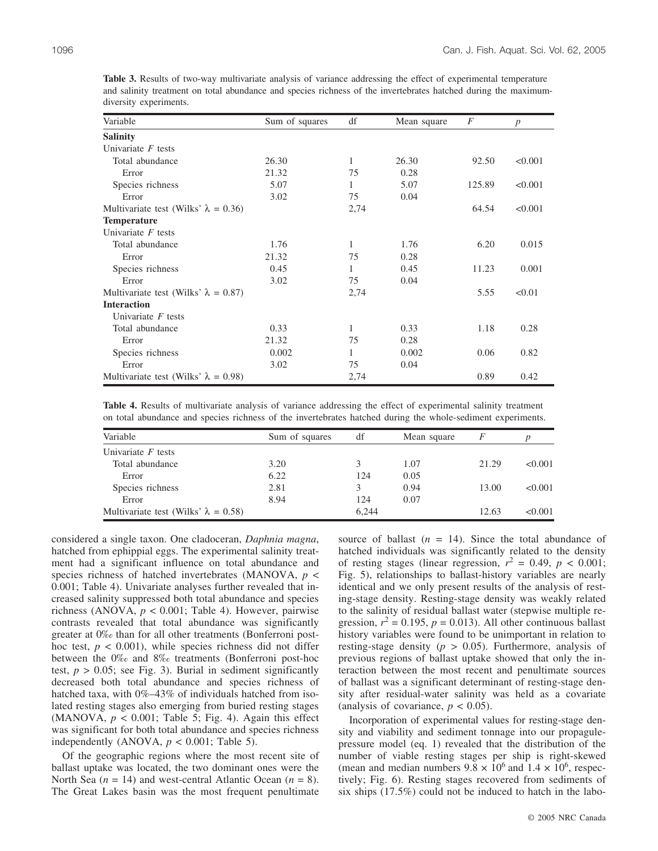| Variable                                     | Sum of squares | df   | Mean square | F      | p       |
|----------------------------------------------|----------------|------|-------------|--------|---------|
| <b>Salinity</b>                              |                |      |             |        |         |
| Univariate $F$ tests                         |                |      |             |        |         |
| Total abundance                              | 26.30          | 1    | 26.30       | 92.50  | < 0.001 |
| Error                                        | 21.32          | 75   | 0.28        |        |         |
| Species richness                             | 5.07           | 1    | 5.07        | 125.89 | < 0.001 |
| Error                                        | 3.02           | 75   | 0.04        |        |         |
| Multivariate test (Wilks' $\lambda = 0.36$ ) |                | 2,74 |             | 64.54  | < 0.001 |
| <b>Temperature</b>                           |                |      |             |        |         |
| Univariate $F$ tests                         |                |      |             |        |         |
| Total abundance                              | 1.76           | 1    | 1.76        | 6.20   | 0.015   |
| Error                                        | 21.32          | 75   | 0.28        |        |         |
| Species richness                             | 0.45           | 1    | 0.45        | 11.23  | 0.001   |
| Error                                        | 3.02           | 75   | 0.04        |        |         |
| Multivariate test (Wilks' $\lambda = 0.87$ ) |                | 2,74 |             | 5.55   | < 0.01  |
| <b>Interaction</b>                           |                |      |             |        |         |
| Univariate $F$ tests                         |                |      |             |        |         |
| Total abundance                              | 0.33           | 1    | 0.33        | 1.18   | 0.28    |
| Error                                        | 21.32          | 75   | 0.28        |        |         |
| Species richness                             | 0.002          | 1    | 0.002       | 0.06   | 0.82    |
| Error                                        | 3.02           | 75   | 0.04        |        |         |
| Multivariate test (Wilks' $\lambda = 0.98$ ) |                | 2,74 |             | 0.89   | 0.42    |

**Table 3.** Results of two-way multivariate analysis of variance addressing the effect of experimental temperature and salinity treatment on total abundance and species richness of the invertebrates hatched during the maximumdiversity experiments.

**Table 4.** Results of multivariate analysis of variance addressing the effect of experimental salinity treatment on total abundance and species richness of the invertebrates hatched during the whole-sediment experiments.

| Variable                                     | Sum of squares | df    |      | F     | D       |
|----------------------------------------------|----------------|-------|------|-------|---------|
| Univariate $F$ tests                         |                |       |      |       |         |
| Total abundance                              | 3.20           |       | 1.07 | 21.29 | < 0.001 |
| Error                                        | 6.22           | 124   | 0.05 |       |         |
| Species richness                             | 2.81           |       | 0.94 | 13.00 | < 0.001 |
| Error                                        | 8.94           | 124   | 0.07 |       |         |
| Multivariate test (Wilks' $\lambda = 0.58$ ) |                | 6.244 |      | 12.63 | < 0.001 |

considered a single taxon. One cladoceran, *Daphnia magna*, hatched from ephippial eggs. The experimental salinity treatment had a significant influence on total abundance and species richness of hatched invertebrates (MANOVA, *p* < 0.001; Table 4). Univariate analyses further revealed that increased salinity suppressed both total abundance and species richness (ANOVA, *p* < 0.001; Table 4). However, pairwise contrasts revealed that total abundance was significantly greater at 0‰ than for all other treatments (Bonferroni posthoc test,  $p < 0.001$ ), while species richness did not differ between the 0‰ and 8‰ treatments (Bonferroni post-hoc test,  $p > 0.05$ ; see Fig. 3). Burial in sediment significantly decreased both total abundance and species richness of hatched taxa, with  $0\% - 43\%$  of individuals hatched from isolated resting stages also emerging from buried resting stages (MANOVA,  $p < 0.001$ ; Table 5; Fig. 4). Again this effect was significant for both total abundance and species richness independently (ANOVA,  $p < 0.001$ ; Table 5).

Of the geographic regions where the most recent site of ballast uptake was located, the two dominant ones were the North Sea  $(n = 14)$  and west-central Atlantic Ocean  $(n = 8)$ . The Great Lakes basin was the most frequent penultimate source of ballast  $(n = 14)$ . Since the total abundance of hatched individuals was significantly related to the density of resting stages (linear regression,  $r^2 = 0.49$ ,  $p < 0.001$ ; Fig. 5), relationships to ballast-history variables are nearly identical and we only present results of the analysis of resting-stage density. Resting-stage density was weakly related to the salinity of residual ballast water (stepwise multiple regression,  $r^2 = 0.195$ ,  $p = 0.013$ ). All other continuous ballast history variables were found to be unimportant in relation to resting-stage density (*p* > 0.05). Furthermore, analysis of previous regions of ballast uptake showed that only the interaction between the most recent and penultimate sources of ballast was a significant determinant of resting-stage density after residual-water salinity was held as a covariate (analysis of covariance,  $p < 0.05$ ).

Incorporation of experimental values for resting-stage density and viability and sediment tonnage into our propagulepressure model (eq. 1) revealed that the distribution of the number of viable resting stages per ship is right-skewed (mean and median numbers  $9.8 \times 10^6$  and  $1.4 \times 10^6$ , respectively; Fig. 6). Resting stages recovered from sediments of six ships (17.5%) could not be induced to hatch in the labo-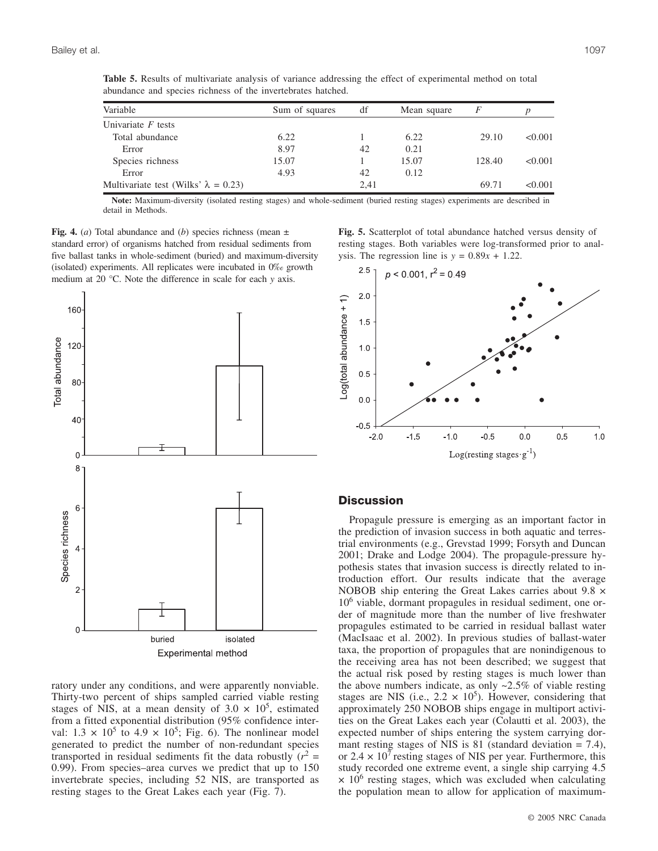| Variable                                     | Sum of squares | df   | Mean square | F      | p       |
|----------------------------------------------|----------------|------|-------------|--------|---------|
| Univariate $F$ tests                         |                |      |             |        |         |
| Total abundance                              | 6.22           |      | 6.22        | 29.10  | < 0.001 |
| Error                                        | 8.97           | 42   | 0.21        |        |         |
| Species richness                             | 15.07          |      | 15.07       | 128.40 | < 0.001 |
| Error                                        | 4.93           | 42   | 0.12        |        |         |
| Multivariate test (Wilks' $\lambda = 0.23$ ) |                | 2.41 |             | 69.71  | < 0.001 |
|                                              |                |      |             |        |         |

**Table 5.** Results of multivariate analysis of variance addressing the effect of experimental method on total abundance and species richness of the invertebrates hatched.

**Note:** Maximum-diversity (isolated resting stages) and whole-sediment (buried resting stages) experiments are described in detail in Methods.

**Fig. 4.** (*a*) Total abundance and (*b*) species richness (mean  $\pm$ standard error) of organisms hatched from residual sediments from five ballast tanks in whole-sediment (buried) and maximum-diversity (isolated) experiments. All replicates were incubated in 0‰ growth medium at 20 °C. Note the difference in scale for each *y* axis.



ratory under any conditions, and were apparently nonviable. Thirty-two percent of ships sampled carried viable resting stages of NIS, at a mean density of  $3.0 \times 10^5$ , estimated from a fitted exponential distribution (95% confidence interval:  $1.3 \times 10^5$  to  $4.9 \times 10^5$ ; Fig. 6). The nonlinear model generated to predict the number of non-redundant species transported in residual sediments fit the data robustly  $(r^2 =$ 0.99). From species–area curves we predict that up to 150 invertebrate species, including 52 NIS, are transported as resting stages to the Great Lakes each year (Fig. 7).

**Fig. 5.** Scatterplot of total abundance hatched versus density of resting stages. Both variables were log-transformed prior to analysis. The regression line is  $y = 0.89x + 1.22$ .



## **Discussion**

Propagule pressure is emerging as an important factor in the prediction of invasion success in both aquatic and terrestrial environments (e.g., Grevstad 1999; Forsyth and Duncan 2001; Drake and Lodge 2004). The propagule-pressure hypothesis states that invasion success is directly related to introduction effort. Our results indicate that the average NOBOB ship entering the Great Lakes carries about 9.8 ×  $10<sup>6</sup>$  viable, dormant propagules in residual sediment, one order of magnitude more than the number of live freshwater propagules estimated to be carried in residual ballast water (MacIsaac et al. 2002). In previous studies of ballast-water taxa, the proportion of propagules that are nonindigenous to the receiving area has not been described; we suggest that the actual risk posed by resting stages is much lower than the above numbers indicate, as only  $\approx 2.5\%$  of viable resting stages are NIS (i.e.,  $2.2 \times 10^5$ ). However, considering that approximately 250 NOBOB ships engage in multiport activities on the Great Lakes each year (Colautti et al. 2003), the expected number of ships entering the system carrying dormant resting stages of NIS is 81 (standard deviation = 7.4), or  $2.4 \times 10^{7}$  resting stages of NIS per year. Furthermore, this study recorded one extreme event, a single ship carrying 4.5  $\times$  10<sup>6</sup> resting stages, which was excluded when calculating the population mean to allow for application of maximum-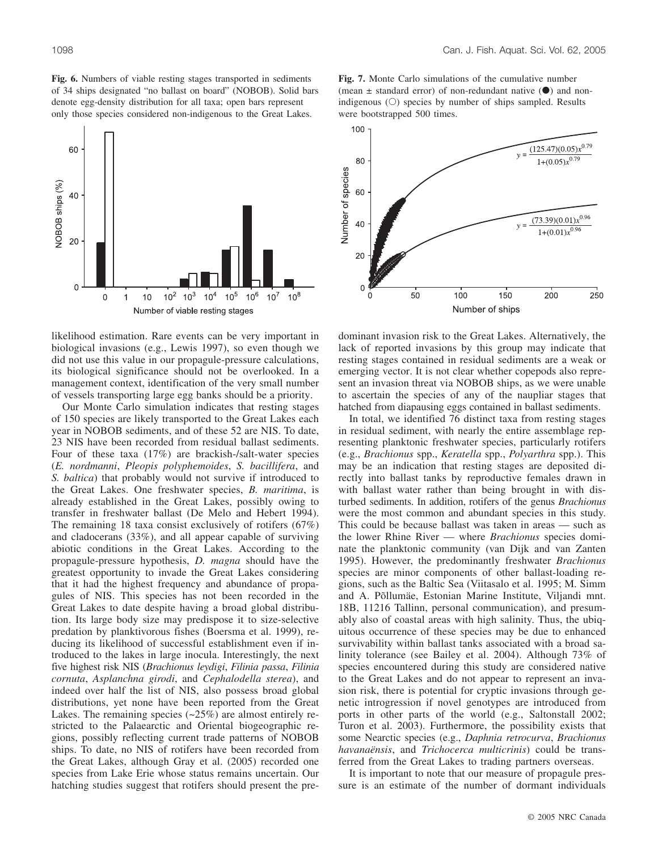**Fig. 6.** Numbers of viable resting stages transported in sediments of 34 ships designated "no ballast on board" (NOBOB). Solid bars denote egg-density distribution for all taxa; open bars represent only those species considered non-indigenous to the Great Lakes.



likelihood estimation. Rare events can be very important in biological invasions (e.g., Lewis 1997), so even though we did not use this value in our propagule-pressure calculations, its biological significance should not be overlooked. In a management context, identification of the very small number of vessels transporting large egg banks should be a priority.

Our Monte Carlo simulation indicates that resting stages of 150 species are likely transported to the Great Lakes each year in NOBOB sediments, and of these 52 are NIS. To date, 23 NIS have been recorded from residual ballast sediments. Four of these taxa (17%) are brackish-/salt-water species (*E. nordmanni*, *Pleopis polyphemoides*, *S. bacillifera*, and *S. baltica*) that probably would not survive if introduced to the Great Lakes. One freshwater species, *B. maritima*, is already established in the Great Lakes, possibly owing to transfer in freshwater ballast (De Melo and Hebert 1994). The remaining 18 taxa consist exclusively of rotifers (67%) and cladocerans (33%), and all appear capable of surviving abiotic conditions in the Great Lakes. According to the propagule-pressure hypothesis, *D. magna* should have the greatest opportunity to invade the Great Lakes considering that it had the highest frequency and abundance of propagules of NIS. This species has not been recorded in the Great Lakes to date despite having a broad global distribution. Its large body size may predispose it to size-selective predation by planktivorous fishes (Boersma et al. 1999), reducing its likelihood of successful establishment even if introduced to the lakes in large inocula. Interestingly, the next five highest risk NIS (*Brachionus leydigi*, *Filinia passa*, *Filinia cornuta*, *Asplanchna girodi*, and *Cephalodella sterea*), and indeed over half the list of NIS, also possess broad global distributions, yet none have been reported from the Great Lakes. The remaining species  $(\sim 25\%)$  are almost entirely restricted to the Palaearctic and Oriental biogeographic regions, possibly reflecting current trade patterns of NOBOB ships. To date, no NIS of rotifers have been recorded from the Great Lakes, although Gray et al. (2005) recorded one species from Lake Erie whose status remains uncertain. Our hatching studies suggest that rotifers should present the pre-





dominant invasion risk to the Great Lakes. Alternatively, the lack of reported invasions by this group may indicate that resting stages contained in residual sediments are a weak or emerging vector. It is not clear whether copepods also represent an invasion threat via NOBOB ships, as we were unable to ascertain the species of any of the naupliar stages that hatched from diapausing eggs contained in ballast sediments.

In total, we identified 76 distinct taxa from resting stages in residual sediment, with nearly the entire assemblage representing planktonic freshwater species, particularly rotifers (e.g., *Brachionus* spp., *Keratella* spp., *Polyarthra* spp.). This may be an indication that resting stages are deposited directly into ballast tanks by reproductive females drawn in with ballast water rather than being brought in with disturbed sediments. In addition, rotifers of the genus *Brachionus* were the most common and abundant species in this study. This could be because ballast was taken in areas — such as the lower Rhine River — where *Brachionus* species dominate the planktonic community (van Dijk and van Zanten 1995). However, the predominantly freshwater *Brachionus* species are minor components of other ballast-loading regions, such as the Baltic Sea (Viitasalo et al. 1995; M. Simm and A. Põllumäe, Estonian Marine Institute, Viljandi mnt. 18B, 11216 Tallinn, personal communication), and presumably also of coastal areas with high salinity. Thus, the ubiquitous occurrence of these species may be due to enhanced survivability within ballast tanks associated with a broad salinity tolerance (see Bailey et al. 2004). Although 73% of species encountered during this study are considered native to the Great Lakes and do not appear to represent an invasion risk, there is potential for cryptic invasions through genetic introgression if novel genotypes are introduced from ports in other parts of the world (e.g., Saltonstall 2002; Turon et al. 2003). Furthermore, the possibility exists that some Nearctic species (e.g., *Daphnia retrocurva*, *Brachionus havanaënsis*, and *Trichocerca multicrinis*) could be transferred from the Great Lakes to trading partners overseas.

It is important to note that our measure of propagule pressure is an estimate of the number of dormant individuals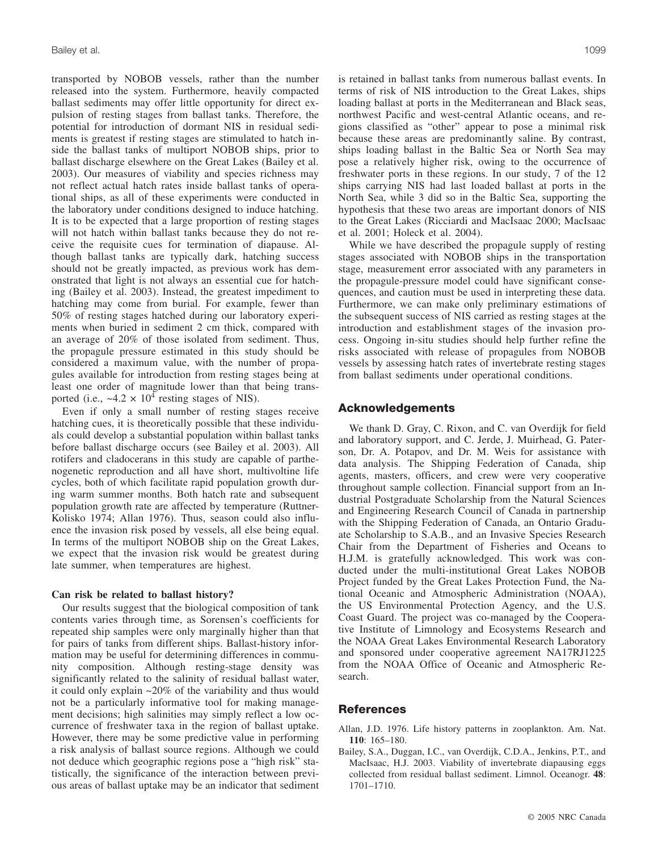transported by NOBOB vessels, rather than the number released into the system. Furthermore, heavily compacted ballast sediments may offer little opportunity for direct expulsion of resting stages from ballast tanks. Therefore, the potential for introduction of dormant NIS in residual sediments is greatest if resting stages are stimulated to hatch inside the ballast tanks of multiport NOBOB ships, prior to ballast discharge elsewhere on the Great Lakes (Bailey et al. 2003). Our measures of viability and species richness may not reflect actual hatch rates inside ballast tanks of operational ships, as all of these experiments were conducted in the laboratory under conditions designed to induce hatching. It is to be expected that a large proportion of resting stages will not hatch within ballast tanks because they do not receive the requisite cues for termination of diapause. Although ballast tanks are typically dark, hatching success should not be greatly impacted, as previous work has demonstrated that light is not always an essential cue for hatching (Bailey et al. 2003). Instead, the greatest impediment to hatching may come from burial. For example, fewer than 50% of resting stages hatched during our laboratory experiments when buried in sediment 2 cm thick, compared with an average of 20% of those isolated from sediment. Thus, the propagule pressure estimated in this study should be considered a maximum value, with the number of propagules available for introduction from resting stages being at least one order of magnitude lower than that being transported (i.e.,  $\sim 4.2 \times 10^4$  resting stages of NIS).

Even if only a small number of resting stages receive hatching cues, it is theoretically possible that these individuals could develop a substantial population within ballast tanks before ballast discharge occurs (see Bailey et al. 2003). All rotifers and cladocerans in this study are capable of parthenogenetic reproduction and all have short, multivoltine life cycles, both of which facilitate rapid population growth during warm summer months. Both hatch rate and subsequent population growth rate are affected by temperature (Ruttner-Kolisko 1974; Allan 1976). Thus, season could also influence the invasion risk posed by vessels, all else being equal. In terms of the multiport NOBOB ship on the Great Lakes, we expect that the invasion risk would be greatest during late summer, when temperatures are highest.

#### **Can risk be related to ballast history?**

Our results suggest that the biological composition of tank contents varies through time, as Sorensen's coefficients for repeated ship samples were only marginally higher than that for pairs of tanks from different ships. Ballast-history information may be useful for determining differences in community composition. Although resting-stage density was significantly related to the salinity of residual ballast water, it could only explain ~20% of the variability and thus would not be a particularly informative tool for making management decisions; high salinities may simply reflect a low occurrence of freshwater taxa in the region of ballast uptake. However, there may be some predictive value in performing a risk analysis of ballast source regions. Although we could not deduce which geographic regions pose a "high risk" statistically, the significance of the interaction between previous areas of ballast uptake may be an indicator that sediment is retained in ballast tanks from numerous ballast events. In terms of risk of NIS introduction to the Great Lakes, ships loading ballast at ports in the Mediterranean and Black seas, northwest Pacific and west-central Atlantic oceans, and regions classified as "other" appear to pose a minimal risk because these areas are predominantly saline. By contrast, ships loading ballast in the Baltic Sea or North Sea may pose a relatively higher risk, owing to the occurrence of freshwater ports in these regions. In our study, 7 of the 12 ships carrying NIS had last loaded ballast at ports in the North Sea, while 3 did so in the Baltic Sea, supporting the hypothesis that these two areas are important donors of NIS to the Great Lakes (Ricciardi and MacIsaac 2000; MacIsaac et al. 2001; Holeck et al. 2004).

While we have described the propagule supply of resting stages associated with NOBOB ships in the transportation stage, measurement error associated with any parameters in the propagule-pressure model could have significant consequences, and caution must be used in interpreting these data. Furthermore, we can make only preliminary estimations of the subsequent success of NIS carried as resting stages at the introduction and establishment stages of the invasion process. Ongoing in-situ studies should help further refine the risks associated with release of propagules from NOBOB vessels by assessing hatch rates of invertebrate resting stages from ballast sediments under operational conditions.

#### **Acknowledgements**

We thank D. Gray, C. Rixon, and C. van Overdijk for field and laboratory support, and C. Jerde, J. Muirhead, G. Paterson, Dr. A. Potapov, and Dr. M. Weis for assistance with data analysis. The Shipping Federation of Canada, ship agents, masters, officers, and crew were very cooperative throughout sample collection. Financial support from an Industrial Postgraduate Scholarship from the Natural Sciences and Engineering Research Council of Canada in partnership with the Shipping Federation of Canada, an Ontario Graduate Scholarship to S.A.B., and an Invasive Species Research Chair from the Department of Fisheries and Oceans to H.J.M. is gratefully acknowledged. This work was conducted under the multi-institutional Great Lakes NOBOB Project funded by the Great Lakes Protection Fund, the National Oceanic and Atmospheric Administration (NOAA), the US Environmental Protection Agency, and the U.S. Coast Guard. The project was co-managed by the Cooperative Institute of Limnology and Ecosystems Research and the NOAA Great Lakes Environmental Research Laboratory and sponsored under cooperative agreement NA17RJ1225 from the NOAA Office of Oceanic and Atmospheric Research.

## **References**

- Allan, J.D. 1976. Life history patterns in zooplankton. Am. Nat. **110**: 165–180.
- Bailey, S.A., Duggan, I.C., van Overdijk, C.D.A., Jenkins, P.T., and MacIsaac, H.J. 2003. Viability of invertebrate diapausing eggs collected from residual ballast sediment. Limnol. Oceanogr. **48**: 1701–1710.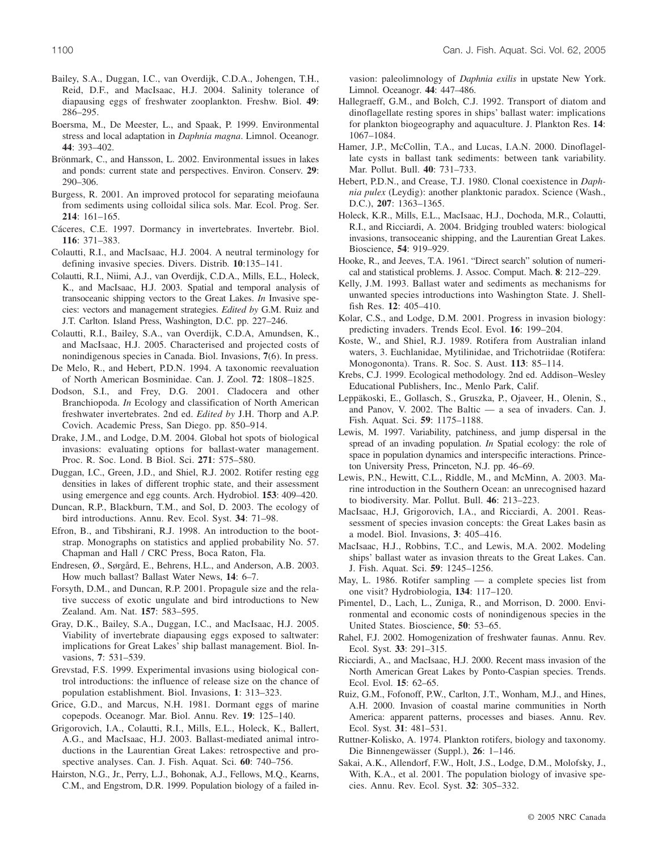- Bailey, S.A., Duggan, I.C., van Overdijk, C.D.A., Johengen, T.H., Reid, D.F., and MacIsaac, H.J. 2004. Salinity tolerance of diapausing eggs of freshwater zooplankton. Freshw. Biol. **49**: 286–295.
- Boersma, M., De Meester, L., and Spaak, P. 1999. Environmental stress and local adaptation in *Daphnia magna*. Limnol. Oceanogr. **44**: 393–402.
- Brönmark, C., and Hansson, L. 2002. Environmental issues in lakes and ponds: current state and perspectives. Environ. Conserv. **29**: 290–306.
- Burgess, R. 2001. An improved protocol for separating meiofauna from sediments using colloidal silica sols. Mar. Ecol. Prog. Ser. **214**: 161–165.
- Cáceres, C.E. 1997. Dormancy in invertebrates. Invertebr. Biol. **116**: 371–383.
- Colautti, R.I., and MacIsaac, H.J. 2004. A neutral terminology for defining invasive species. Divers. Distrib. **10**:135–141.
- Colautti, R.I., Niimi, A.J., van Overdijk, C.D.A., Mills, E.L., Holeck, K., and MacIsaac, H.J. 2003. Spatial and temporal analysis of transoceanic shipping vectors to the Great Lakes. *In* Invasive species: vectors and management strategies. *Edited by* G.M. Ruiz and J.T. Carlton. Island Press, Washington, D.C. pp. 227–246.
- Colautti, R.I., Bailey, S.A., van Overdijk, C.D.A, Amundsen, K., and MacIsaac, H.J. 2005. Characterised and projected costs of nonindigenous species in Canada. Biol. Invasions, **7**(6). In press.
- De Melo, R., and Hebert, P.D.N. 1994. A taxonomic reevaluation of North American Bosminidae. Can. J. Zool. **72**: 1808–1825.
- Dodson, S.I., and Frey, D.G. 2001. Cladocera and other Branchiopoda. *In* Ecology and classification of North American freshwater invertebrates. 2nd ed. *Edited by* J.H. Thorp and A.P. Covich. Academic Press, San Diego. pp. 850–914.
- Drake, J.M., and Lodge, D.M. 2004. Global hot spots of biological invasions: evaluating options for ballast-water management. Proc. R. Soc. Lond. B Biol. Sci. **271**: 575–580.
- Duggan, I.C., Green, J.D., and Shiel, R.J. 2002. Rotifer resting egg densities in lakes of different trophic state, and their assessment using emergence and egg counts. Arch. Hydrobiol. **153**: 409–420.
- Duncan, R.P., Blackburn, T.M., and Sol, D. 2003. The ecology of bird introductions. Annu. Rev. Ecol. Syst. **34**: 71–98.
- Efron, B., and Tibshirani, R.J. 1998. An introduction to the bootstrap. Monographs on statistics and applied probability No. 57. Chapman and Hall / CRC Press, Boca Raton, Fla.
- Endresen, Ø., Sørgård, E., Behrens, H.L., and Anderson, A.B. 2003. How much ballast? Ballast Water News, **14**: 6–7.
- Forsyth, D.M., and Duncan, R.P. 2001. Propagule size and the relative success of exotic ungulate and bird introductions to New Zealand. Am. Nat. **157**: 583–595.
- Gray, D.K., Bailey, S.A., Duggan, I.C., and MacIsaac, H.J. 2005. Viability of invertebrate diapausing eggs exposed to saltwater: implications for Great Lakes' ship ballast management. Biol. Invasions, **7**: 531–539.
- Grevstad, F.S. 1999. Experimental invasions using biological control introductions: the influence of release size on the chance of population establishment. Biol. Invasions, **1**: 313–323.
- Grice, G.D., and Marcus, N.H. 1981. Dormant eggs of marine copepods. Oceanogr. Mar. Biol. Annu. Rev. **19**: 125–140.
- Grigorovich, I.A., Colautti, R.I., Mills, E.L., Holeck, K., Ballert, A.G., and MacIsaac, H.J. 2003. Ballast-mediated animal introductions in the Laurentian Great Lakes: retrospective and prospective analyses. Can. J. Fish. Aquat. Sci. **60**: 740–756.
- Hairston, N.G., Jr., Perry, L.J., Bohonak, A.J., Fellows, M.Q., Kearns, C.M., and Engstrom, D.R. 1999. Population biology of a failed in-

vasion: paleolimnology of *Daphnia exilis* in upstate New York. Limnol. Oceanogr. **44**: 447–486.

- Hallegraeff, G.M., and Bolch, C.J. 1992. Transport of diatom and dinoflagellate resting spores in ships' ballast water: implications for plankton biogeography and aquaculture. J. Plankton Res. **14**: 1067–1084.
- Hamer, J.P., McCollin, T.A., and Lucas, I.A.N. 2000. Dinoflagellate cysts in ballast tank sediments: between tank variability. Mar. Pollut. Bull. **40**: 731–733.
- Hebert, P.D.N., and Crease, T.J. 1980. Clonal coexistence in *Daphnia pulex* (Leydig): another planktonic paradox. Science (Wash., D.C.), **207**: 1363–1365.
- Holeck, K.R., Mills, E.L., MacIsaac, H.J., Dochoda, M.R., Colautti, R.I., and Ricciardi, A. 2004. Bridging troubled waters: biological invasions, transoceanic shipping, and the Laurentian Great Lakes. Bioscience, **54**: 919–929.
- Hooke, R., and Jeeves, T.A. 1961. "Direct search" solution of numerical and statistical problems. J. Assoc. Comput. Mach. **8**: 212–229.
- Kelly, J.M. 1993. Ballast water and sediments as mechanisms for unwanted species introductions into Washington State. J. Shellfish Res. **12**: 405–410.
- Kolar, C.S., and Lodge, D.M. 2001. Progress in invasion biology: predicting invaders. Trends Ecol. Evol. **16**: 199–204.
- Koste, W., and Shiel, R.J. 1989. Rotifera from Australian inland waters, 3. Euchlanidae, Mytilinidae, and Trichotriidae (Rotifera: Monogononta). Trans. R. Soc. S. Aust. **113**: 85–114.
- Krebs, C.J. 1999. Ecological methodology. 2nd ed. Addison–Wesley Educational Publishers, Inc., Menlo Park, Calif.
- Leppäkoski, E., Gollasch, S., Gruszka, P., Ojaveer, H., Olenin, S., and Panov, V. 2002. The Baltic — a sea of invaders. Can. J. Fish. Aquat. Sci. **59**: 1175–1188.
- Lewis, M. 1997. Variability, patchiness, and jump dispersal in the spread of an invading population. *In* Spatial ecology: the role of space in population dynamics and interspecific interactions. Princeton University Press, Princeton, N.J. pp. 46–69.
- Lewis, P.N., Hewitt, C.L., Riddle, M., and McMinn, A. 2003. Marine introduction in the Southern Ocean: an unrecognised hazard to biodiversity. Mar. Pollut. Bull. **46**: 213–223.
- MacIsaac, H.J, Grigorovich, I.A., and Ricciardi, A. 2001. Reassessment of species invasion concepts: the Great Lakes basin as a model. Biol. Invasions, **3**: 405–416.
- MacIsaac, H.J., Robbins, T.C., and Lewis, M.A. 2002. Modeling ships' ballast water as invasion threats to the Great Lakes. Can. J. Fish. Aquat. Sci. **59**: 1245–1256.
- May, L. 1986. Rotifer sampling a complete species list from one visit? Hydrobiologia, **134**: 117–120.
- Pimentel, D., Lach, L., Zuniga, R., and Morrison, D. 2000. Environmental and economic costs of nonindigenous species in the United States. Bioscience, **50**: 53–65.
- Rahel, F.J. 2002. Homogenization of freshwater faunas. Annu. Rev. Ecol. Syst. **33**: 291–315.
- Ricciardi, A., and MacIsaac, H.J. 2000. Recent mass invasion of the North American Great Lakes by Ponto-Caspian species. Trends. Ecol. Evol. **15**: 62–65.
- Ruiz, G.M., Fofonoff, P.W., Carlton, J.T., Wonham, M.J., and Hines, A.H. 2000. Invasion of coastal marine communities in North America: apparent patterns, processes and biases. Annu. Rev. Ecol. Syst. **31**: 481–531.
- Ruttner-Kolisko, A. 1974. Plankton rotifers, biology and taxonomy. Die Binnengewässer (Suppl.), **26**: 1–146.
- Sakai, A.K., Allendorf, F.W., Holt, J.S., Lodge, D.M., Molofsky, J., With, K.A., et al. 2001. The population biology of invasive species. Annu. Rev. Ecol. Syst. **32**: 305–332.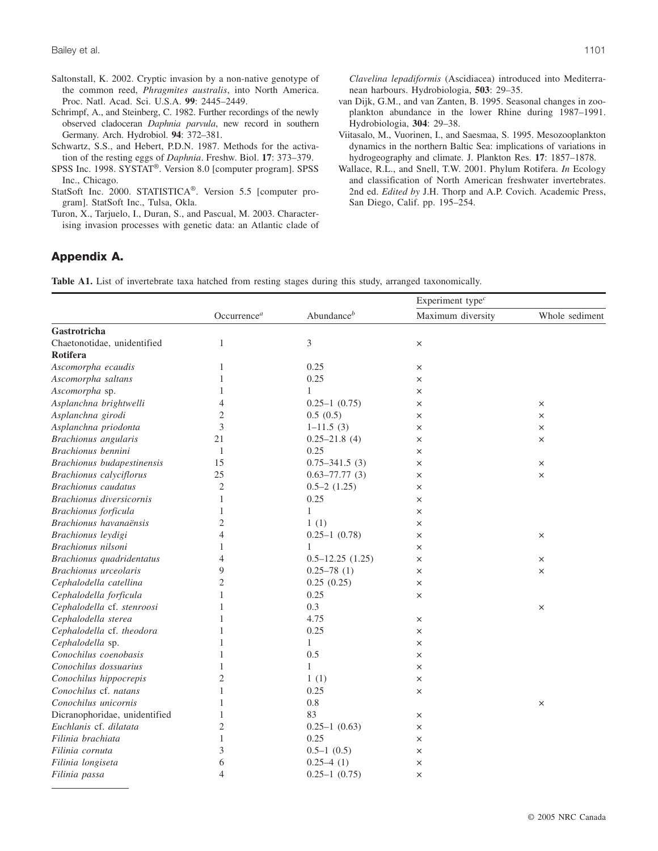- Saltonstall, K. 2002. Cryptic invasion by a non-native genotype of the common reed, *Phragmites australis*, into North America. Proc. Natl. Acad. Sci. U.S.A. **99**: 2445–2449.
- Schrimpf, A., and Steinberg, C. 1982. Further recordings of the newly observed cladoceran *Daphnia parvula*, new record in southern Germany. Arch. Hydrobiol. **94**: 372–381.
- Schwartz, S.S., and Hebert, P.D.N. 1987. Methods for the activation of the resting eggs of *Daphnia*. Freshw. Biol. **17**: 373–379.
- SPSS Inc. 1998. SYSTAT®. Version 8.0 [computer program]. SPSS Inc., Chicago.
- StatSoft Inc. 2000. STATISTICA®. Version 5.5 [computer program]. StatSoft Inc., Tulsa, Okla.
- Turon, X., Tarjuelo, I., Duran, S., and Pascual, M. 2003. Characterising invasion processes with genetic data: an Atlantic clade of

*Clavelina lepadiformis* (Ascidiacea) introduced into Mediterranean harbours. Hydrobiologia, **503**: 29–35.

- van Dijk, G.M., and van Zanten, B. 1995. Seasonal changes in zooplankton abundance in the lower Rhine during 1987–1991. Hydrobiologia, **304**: 29–38.
- Viitasalo, M., Vuorinen, I., and Saesmaa, S. 1995. Mesozooplankton dynamics in the northern Baltic Sea: implications of variations in hydrogeography and climate. J. Plankton Res. **17**: 1857–1878.
- Wallace, R.L., and Snell, T.W. 2001. Phylum Rotifera. *In* Ecology and classification of North American freshwater invertebrates. 2nd ed. *Edited by* J.H. Thorp and A.P. Covich. Academic Press, San Diego, Calif. pp. 195–254.

## **Appendix A.**

**Table A1.** List of invertebrate taxa hatched from resting stages during this study, arranged taxonomically.

|                               |                                      |                        | Experiment type $c$ |                |
|-------------------------------|--------------------------------------|------------------------|---------------------|----------------|
|                               | Occurrence <sup><math>a</math></sup> | Abundance <sup>b</sup> | Maximum diversity   | Whole sediment |
| Gastrotricha                  |                                      |                        |                     |                |
| Chaetonotidae, unidentified   | $\mathbf{1}$                         | 3                      | $\times$            |                |
| <b>Rotifera</b>               |                                      |                        |                     |                |
| Ascomorpha ecaudis            | 1                                    | 0.25                   | $\times$            |                |
| Ascomorpha saltans            | 1                                    | 0.25                   | $\times$            |                |
| Ascomorpha sp.                | 1                                    | 1                      | $\times$            |                |
| Asplanchna brightwelli        | $\overline{4}$                       | $0.25-1(0.75)$         | $\times$            | $\times$       |
| Asplanchna girodi             | $\mathfrak{2}$                       | 0.5(0.5)               | $\times$            | $\times$       |
| Asplanchna priodonta          | 3                                    | $1 - 11.5(3)$          | $\times$            | $\times$       |
| Brachionus angularis          | 21                                   | $0.25 - 21.8$ (4)      | $\times$            | $\times$       |
| Brachionus bennini            | 1                                    | 0.25                   | $\times$            |                |
| Brachionus budapestinensis    | 15                                   | $0.75 - 341.5(3)$      | $\times$            | $\times$       |
| Brachionus calyciflorus       | 25                                   | $0.63 - 77.77(3)$      | $\times$            | $\times$       |
| <b>Brachionus</b> caudatus    | $\mathfrak{2}$                       | $0.5-2(1.25)$          | $\times$            |                |
| Brachionus diversicornis      | 1                                    | 0.25                   | $\times$            |                |
| Brachionus forficula          | 1                                    | 1                      | $\times$            |                |
| Brachionus havanaënsis        | $\overline{c}$                       | 1(1)                   | $\times$            |                |
| Brachionus leydigi            | $\overline{4}$                       | $0.25-1(0.78)$         | $\times$            | $\times$       |
| Brachionus nilsoni            | $\mathbf{1}$                         | 1                      | $\times$            |                |
| Brachionus quadridentatus     | 4                                    | $0.5 - 12.25$ $(1.25)$ | $\times$            | $\times$       |
| Brachionus urceolaris         | 9                                    | $0.25 - 78(1)$         | ×                   | $\times$       |
| Cephalodella catellina        | 2                                    | 0.25(0.25)             | $\times$            |                |
| Cephalodella forficula        | 1                                    | 0.25                   | $\times$            |                |
| Cephalodella cf. stenroosi    | 1                                    | 0.3                    |                     | $\times$       |
| Cephalodella sterea           | 1                                    | 4.75                   | $\times$            |                |
| Cephalodella cf. theodora     | 1                                    | 0.25                   | $\times$            |                |
| Cephalodella sp.              | 1                                    | 1                      | $\times$            |                |
| Conochilus coenobasis         | 1                                    | 0.5                    | $\times$            |                |
| Conochilus dossuarius         | 1                                    | 1                      | $\times$            |                |
| Conochilus hippocrepis        | $\overline{c}$                       | 1(1)                   | $\times$            |                |
| Conochilus cf. natans         | $\mathbf{1}$                         | 0.25                   | $\times$            |                |
| Conochilus unicornis          | 1                                    | 0.8                    |                     | $\times$       |
| Dicranophoridae, unidentified | 1                                    | 83                     | ×                   |                |
| Euchlanis cf. dilatata        | 2                                    | $0.25-1(0.63)$         | $\times$            |                |
| Filinia brachiata             | 1                                    | 0.25                   | $\times$            |                |
| Filinia cornuta               | 3                                    | $0.5-1(0.5)$           | $\times$            |                |
| Filinia longiseta             | 6                                    | $0.25-4(1)$            | $\times$            |                |
| Filinia passa                 | 4                                    | $0.25-1(0.75)$         | $\times$            |                |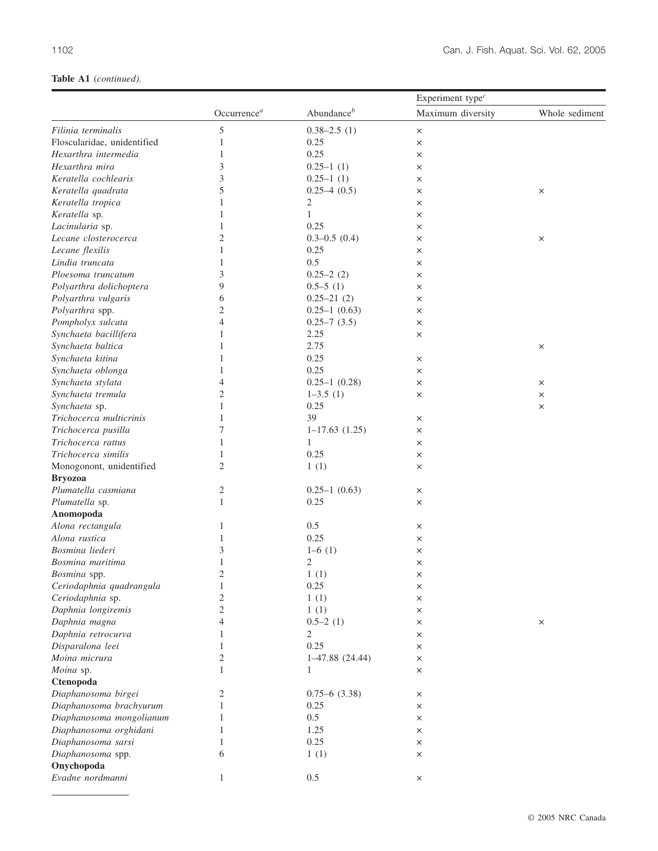## **Table A1** (*continued).*

|                             |                         |                        | Experiment type <sup>c</sup> |                |  |
|-----------------------------|-------------------------|------------------------|------------------------------|----------------|--|
|                             | Occurrence $a$          | Abundance <sup>b</sup> | Maximum diversity            | Whole sediment |  |
| Filinia terminalis          | 5                       | $0.38 - 2.5(1)$        | $\times$                     |                |  |
| Floscularidae, unidentified | 1                       | 0.25                   | $\times$                     |                |  |
| Hexarthra intermedia        | 1                       | 0.25                   | $\times$                     |                |  |
| Hexarthra mira              | 3                       | $0.25-1(1)$            | $\times$                     |                |  |
| Keratella cochlearis        | 3                       | $0.25-1(1)$            | $\times$                     |                |  |
| Keratella quadrata          | 5                       | $0.25-4(0.5)$          | ×                            | $\times$       |  |
| Keratella tropica           | 1                       | 2                      | $\times$                     |                |  |
| Keratella sp.               | 1                       | 1                      | $\times$                     |                |  |
| Lacinularia sp.             | 1                       | 0.25                   | $\times$                     |                |  |
| Lecane closterocerca        | 2                       | $0.3 - 0.5$ $(0.4)$    | $\times$                     | $\times$       |  |
| Lecane flexilis             | 1                       | 0.25                   | $\times$                     |                |  |
| Lindia truncata             | 1                       | 0.5                    | $\times$                     |                |  |
| Ploesoma truncatum          | 3                       | $0.25 - 2(2)$          | $\times$                     |                |  |
| Polyarthra dolichoptera     | 9                       | $0.5-5(1)$             | $\times$                     |                |  |
| Polyarthra vulgaris         | 6                       | $0.25 - 21(2)$         | $\times$                     |                |  |
| Polyarthra spp.             | 2                       | $0.25-1(0.63)$         | $\times$                     |                |  |
| Pompholyx sulcata           | 4                       | $0.25 - 7(3.5)$        | $\times$                     |                |  |
| Synchaeta bacillifera       | 1                       | 2.25                   | $\times$                     |                |  |
| Synchaeta baltica           | 1                       | 2.75                   |                              | $\times$       |  |
| Synchaeta kitina            | 1                       | 0.25                   | ×                            |                |  |
| Synchaeta oblonga           | 1                       | 0.25                   | $\times$                     |                |  |
| Synchaeta stylata           | 4                       | $0.25-1(0.28)$         | $\times$                     | ×              |  |
| Synchaeta tremula           | 2                       | $1 - 3.5(1)$           | $\times$                     | $\times$       |  |
| Synchaeta sp.               | 1                       | 0.25                   |                              | $\times$       |  |
| Trichocerca multicrinis     | 1                       | 39                     | $\times$                     |                |  |
| Trichocerca pusilla         | 7                       | $1-17.63(1.25)$        | $\times$                     |                |  |
| Trichocerca rattus          | 1                       | 1                      | $\times$                     |                |  |
| Trichocerca similis         | 1                       | 0.25                   | $\times$                     |                |  |
| Monogonont, unidentified    | 2                       | 1(1)                   | $\times$                     |                |  |
| <b>Bryozoa</b>              |                         |                        |                              |                |  |
| Plumatella casmiana         | 2                       | $0.25-1(0.63)$         | $\times$                     |                |  |
| Plumatella sp.              | $\mathbf{1}$            | 0.25                   | $\times$                     |                |  |
| Anomopoda                   |                         |                        |                              |                |  |
| Alona rectangula            | 1                       | 0.5                    | $\times$                     |                |  |
| Alona rustica               | 1                       | 0.25                   | $\times$                     |                |  |
| Bosmina liederi             | 3                       | $1-6(1)$               | $\times$                     |                |  |
| Bosmina maritima            | 1                       | $\overline{2}$         | $\times$                     |                |  |
| Bosmina spp.                | $\overline{\mathbf{c}}$ | 1(1)                   | ×                            |                |  |
| Ceriodaphnia quadrangula    | 1                       | 0.25                   | $\times$                     |                |  |
| Ceriodaphnia sp.            | 2                       | 1(1)                   | $\times$                     |                |  |
| Daphnia longiremis          | 2                       | 1(1)                   | ×                            |                |  |
| Daphnia magna               | 4                       | $0.5-2(1)$             | $\times$                     | $\times$       |  |
| Daphnia retrocurva          | 1                       | 2                      | ×                            |                |  |
| Disparalona leei            | 1                       | 0.25                   | $\times$                     |                |  |
| Moina micrura               | 2                       | $1-47.88(24.44)$       | $\times$                     |                |  |
| Moina sp.                   | 1                       | 1                      | ×                            |                |  |
| Ctenopoda                   |                         |                        |                              |                |  |
|                             |                         | $0.75 - 6(3.38)$       |                              |                |  |
| Diaphanosoma birgei         | 2                       |                        | ×                            |                |  |
| Diaphanosoma brachyurum     | 1<br>1                  | 0.25<br>0.5            | $\times$                     |                |  |
| Diaphanosoma mongolianum    |                         |                        | ×                            |                |  |
| Diaphanosoma orghidani      | 1                       | 1.25                   | $\times$                     |                |  |
| Diaphanosoma sarsi          | 1                       | 0.25                   | ×                            |                |  |
| Diaphanosoma spp.           | 6                       | 1(1)                   | ×                            |                |  |
| Onychopoda                  |                         |                        |                              |                |  |
| Evadne nordmanni            | 1                       | $0.5\,$                | ×                            |                |  |